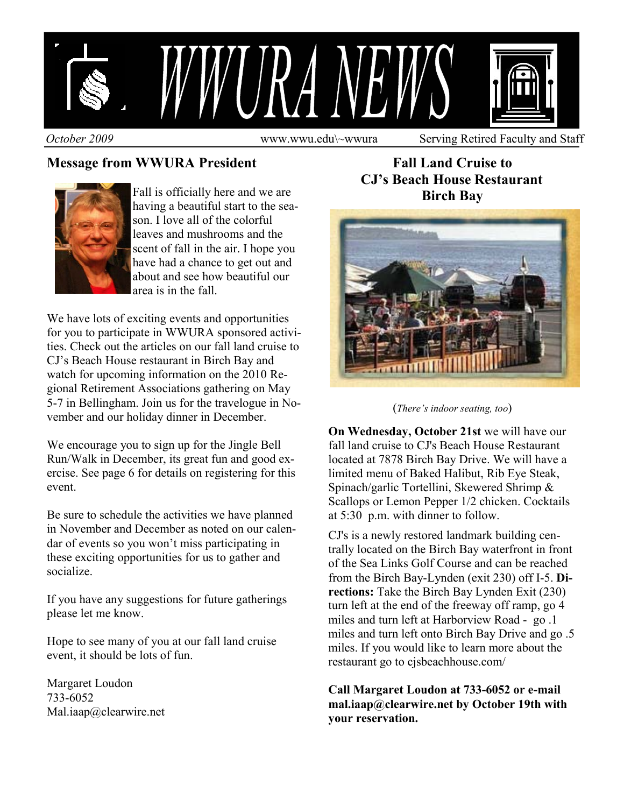

## **Message from WWURA President**



Fall is officially here and we are having a beautiful start to the season. I love all of the colorful leaves and mushrooms and the scent of fall in the air. I hope you have had a chance to get out and about and see how beautiful our area is in the fall.

We have lots of exciting events and opportunities for you to participate in WWURA sponsored activities. Check out the articles on our fall land cruise to CJ's Beach House restaurant in Birch Bay and watch for upcoming information on the 2010 Regional Retirement Associations gathering on May 5-7 in Bellingham. Join us for the travelogue in November and our holiday dinner in December.

We encourage you to sign up for the Jingle Bell Run/Walk in December, its great fun and good exercise. See page 6 for details on registering for this event.

Be sure to schedule the activities we have planned in November and December as noted on our calendar of events so you won't miss participating in these exciting opportunities for us to gather and socialize.

If you have any suggestions for future gatherings please let me know.

Hope to see many of you at our fall land cruise event, it should be lots of fun.

Margaret Loudon 733-6052 Mal.iaap@clearwire.net

**Fall Land Cruise to CJ's Beach House Restaurant Birch Bay** 



(*There's indoor seating, too*)

**On Wednesday, October 21st** we will have our fall land cruise to CJ's Beach House Restaurant located at 7878 Birch Bay Drive. We will have a limited menu of Baked Halibut, Rib Eye Steak, Spinach/garlic Tortellini, Skewered Shrimp & Scallops or Lemon Pepper 1/2 chicken. Cocktails at 5:30 p.m. with dinner to follow.

CJ's is a newly restored landmark building centrally located on the Birch Bay waterfront in front of the Sea Links Golf Course and can be reached from the Birch Bay-Lynden (exit 230) off I-5. **Directions:** Take the Birch Bay Lynden Exit (230) turn left at the end of the freeway off ramp, go 4 miles and turn left at Harborview Road - go .1 miles and turn left onto Birch Bay Drive and go .5 miles. If you would like to learn more about the restaurant go to cjsbeachhouse.com/

**Call Margaret Loudon at 733-6052 or e-mail mal.iaap@clearwire.net by October 19th with your reservation.**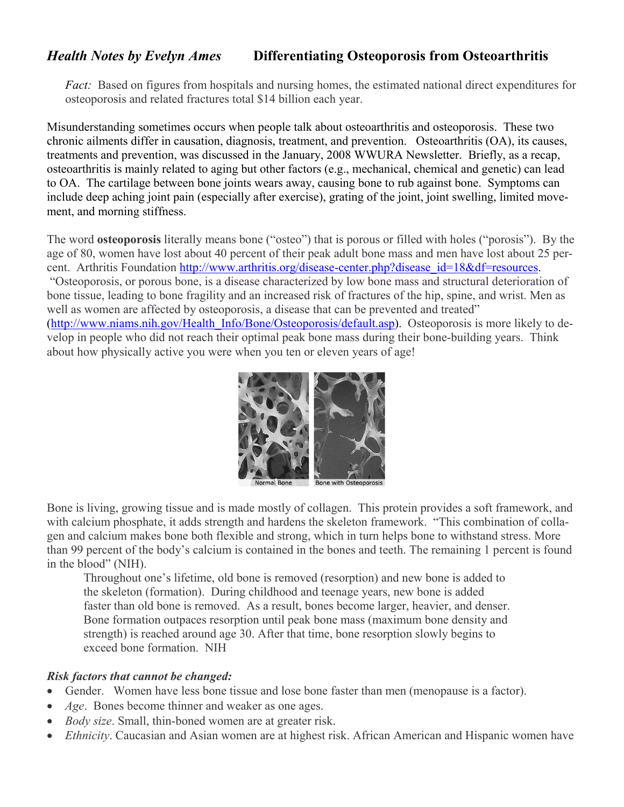## *Health Notes by Evelyn Ames* **Differentiating Osteoporosis from Osteoarthritis**

*Fact:* Based on figures from hospitals and nursing homes, the estimated national direct expenditures for osteoporosis and related fractures total \$14 billion each year.

Misunderstanding sometimes occurs when people talk about osteoarthritis and osteoporosis. These two chronic ailments differ in causation, diagnosis, treatment, and prevention. Osteoarthritis (OA), its causes, treatments and prevention, was discussed in the January, 2008 WWURA Newsletter. Briefly, as a recap, osteoarthritis is mainly related to aging but other factors (e.g., mechanical, chemical and genetic) can lead to OA. The cartilage between bone joints wears away, causing bone to rub against bone. Symptoms can include deep aching joint pain (especially after exercise), grating of the joint, joint swelling, limited movement, and morning stiffness.

The word **osteoporosis** literally means bone ("osteo") that is porous or filled with holes ("porosis"). By the age of 80, women have lost about 40 percent of their peak adult bone mass and men have lost about 25 percent. Arthritis Foundation http://www.arthritis.org/disease-center.php?disease\_id=18&df=resources. "Osteoporosis, or porous bone, is a disease characterized by low bone mass and structural deterioration of bone tissue, leading to bone fragility and an increased risk of fractures of the hip, spine, and wrist. Men as well as women are affected by osteoporosis, a disease that can be prevented and treated" (http://www.niams.nih.gov/Health\_Info/Bone/Osteoporosis/default.asp). Osteoporosis is more likely to develop in people who did not reach their optimal peak bone mass during their bone-building years. Think about how physically active you were when you ten or eleven years of age!



Bone is living, growing tissue and is made mostly of collagen. This protein provides a soft framework, and with calcium phosphate, it adds strength and hardens the skeleton framework. "This combination of collagen and calcium makes bone both flexible and strong, which in turn helps bone to withstand stress. More than 99 percent of the body's calcium is contained in the bones and teeth. The remaining 1 percent is found in the blood" (NIH).

Throughout one's lifetime, old bone is removed (resorption) and new bone is added to the skeleton (formation). During childhood and teenage years, new bone is added faster than old bone is removed. As a result, bones become larger, heavier, and denser. Bone formation outpaces resorption until peak bone mass (maximum bone density and strength) is reached around age 30. After that time, bone resorption slowly begins to exceed bone formation. NIH

## *Risk factors that cannot be changed:*

- Gender. Women have less bone tissue and lose bone faster than men (menopause is a factor).
- *Age*. Bones become thinner and weaker as one ages.
- *Body size*. Small, thin-boned women are at greater risk.
- *Ethnicity*. Caucasian and Asian women are at highest risk. African American and Hispanic women have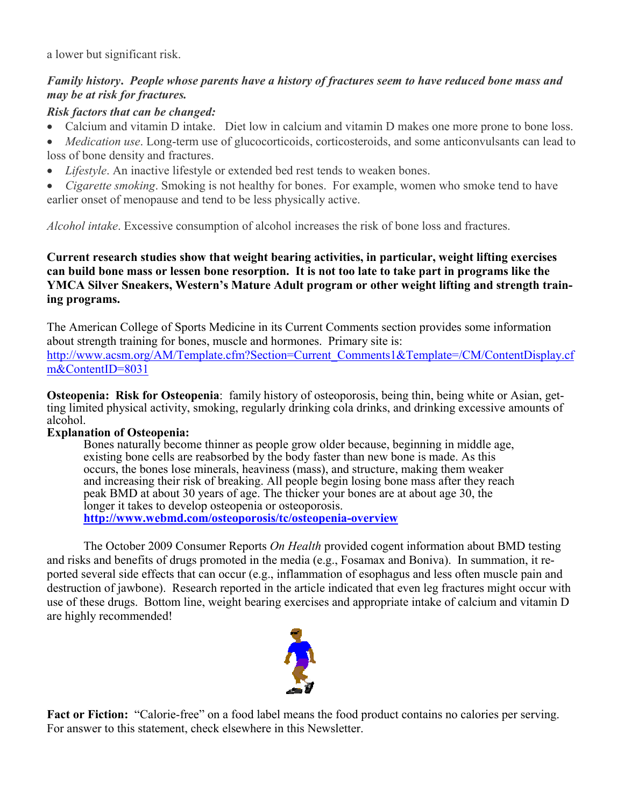a lower but significant risk.

## *Family history***.** *People whose parents have a history of fractures seem to have reduced bone mass and may be at risk for fractures.*

## *Risk factors that can be changed:*

- Calcium and vitamin D intake. Diet low in calcium and vitamin D makes one more prone to bone loss.
- *Medication use*. Long-term use of glucocorticoids, corticosteroids, and some anticonvulsants can lead to loss of bone density and fractures.
- *Lifestyle*. An inactive lifestyle or extended bed rest tends to weaken bones.
- *Cigarette smoking*. Smoking is not healthy for bones. For example, women who smoke tend to have earlier onset of menopause and tend to be less physically active.

*Alcohol intake*. Excessive consumption of alcohol increases the risk of bone loss and fractures.

**Current research studies show that weight bearing activities, in particular, weight lifting exercises can build bone mass or lessen bone resorption. It is not too late to take part in programs like the YMCA Silver Sneakers, Western's Mature Adult program or other weight lifting and strength training programs.** 

The American College of Sports Medicine in its Current Comments section provides some information about strength training for bones, muscle and hormones. Primary site is: http://www.acsm.org/AM/Template.cfm?Section=Current\_Comments1&Template=/CM/ContentDisplay.cf m&ContentID=8031

**Osteopenia: Risk for Osteopenia**: family history of osteoporosis, being thin, being white or Asian, getting limited physical activity, smoking, regularly drinking cola drinks, and drinking excessive amounts of alcohol.

## **Explanation of Osteopenia:**

Bones naturally become thinner as people grow older because, beginning in middle age, existing bone cells are reabsorbed by the body faster than new bone is made. As this occurs, the bones lose minerals, heaviness (mass), and structure, making them weaker and increasing their risk of breaking. All people begin losing bone mass after they reach peak BMD at about 30 years of age. The thicker your bones are at about age 30, the longer it takes to develop osteopenia or osteoporosis. **http://www.webmd.com/osteoporosis/tc/osteopenia-overview**

The October 2009 Consumer Reports *On Health* provided cogent information about BMD testing and risks and benefits of drugs promoted in the media (e.g., Fosamax and Boniva). In summation, it reported several side effects that can occur (e.g., inflammation of esophagus and less often muscle pain and destruction of jawbone). Research reported in the article indicated that even leg fractures might occur with use of these drugs. Bottom line, weight bearing exercises and appropriate intake of calcium and vitamin D are highly recommended!



**Fact or Fiction:** "Calorie-free" on a food label means the food product contains no calories per serving. For answer to this statement, check elsewhere in this Newsletter.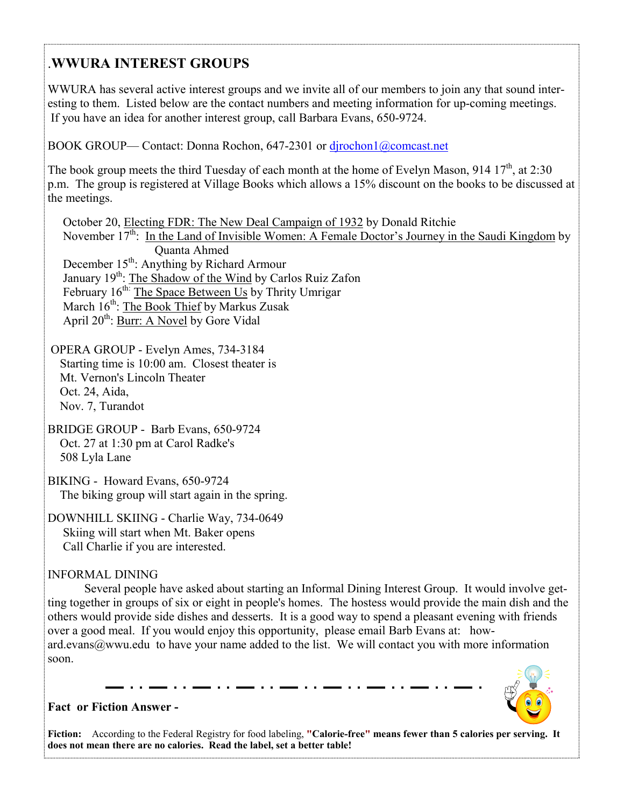## .**WWURA INTEREST GROUPS**

WWURA has several active interest groups and we invite all of our members to join any that sound interesting to them. Listed below are the contact numbers and meeting information for up-coming meetings. If you have an idea for another interest group, call Barbara Evans, 650-9724.

BOOK GROUP— Contact: Donna Rochon, 647-2301 or dirochon1@comcast.net

The book group meets the third Tuesday of each month at the home of Evelyn Mason, 914 17<sup>th</sup>, at 2:30 p.m. The group is registered at Village Books which allows a 15% discount on the books to be discussed at the meetings.

 October 20, Electing FDR: The New Deal Campaign of 1932 by Donald Ritchie November  $17<sup>th</sup>$ : In the Land of Invisible Women: A Female Doctor's Journey in the Saudi Kingdom by Quanta Ahmed December  $15<sup>th</sup>$ : Anything by Richard Armour January 19<sup>th</sup>: The Shadow of the Wind by Carlos Ruiz Zafon February 16<sup>th:</sup> The Space Between Us by Thrity Umrigar March 16<sup>th</sup>: The Book Thief by Markus Zusak April 20<sup>th</sup>: Burr: A Novel by Gore Vidal

 OPERA GROUP - Evelyn Ames, 734-3184 Starting time is 10:00 am. Closest theater is Mt. Vernon's Lincoln Theater Oct. 24, Aida, Nov. 7, Turandot

BRIDGE GROUP - Barb Evans, 650-9724 Oct. 27 at 1:30 pm at Carol Radke's 508 Lyla Lane

BIKING - Howard Evans, 650-9724 The biking group will start again in the spring.

DOWNHILL SKIING - Charlie Way, 734-0649 Skiing will start when Mt. Baker opens Call Charlie if you are interested.

## INFORMAL DINING

 Several people have asked about starting an Informal Dining Interest Group. It would involve getting together in groups of six or eight in people's homes. The hostess would provide the main dish and the others would provide side dishes and desserts. It is a good way to spend a pleasant evening with friends over a good meal. If you would enjoy this opportunity, please email Barb Evans at: howard.evans@wwu.edu to have your name added to the list. We will contact you with more information soon.



## **Fact or Fiction Answer -**

**Fiction:** According to the Federal Registry for food labeling, **"Calorie-free" means fewer than 5 calories per serving. It does not mean there are no calories. Read the label, set a better table!**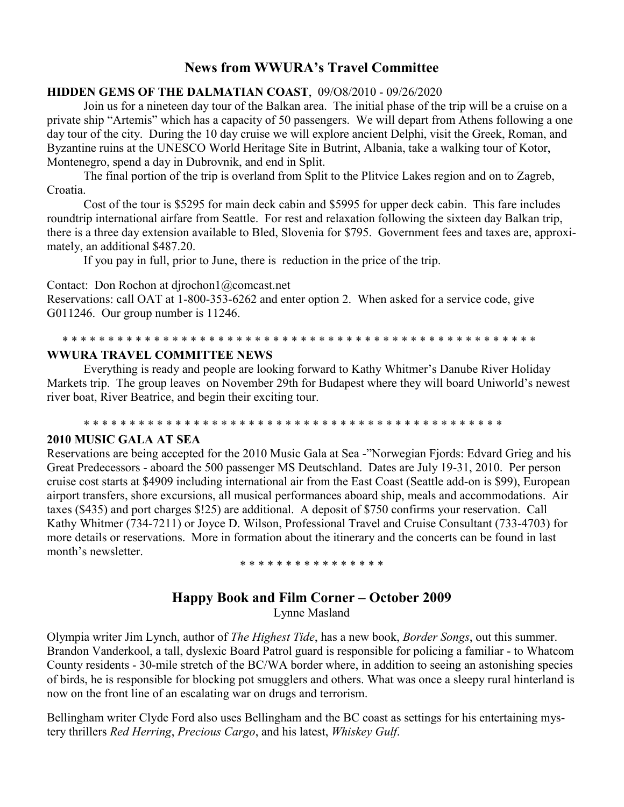## **News from WWURA's Travel Committee**

#### **HIDDEN GEMS OF THE DALMATIAN COAST**, 09/O8/2010 - 09/26/2020

 Join us for a nineteen day tour of the Balkan area. The initial phase of the trip will be a cruise on a private ship "Artemis" which has a capacity of 50 passengers. We will depart from Athens following a one day tour of the city. During the 10 day cruise we will explore ancient Delphi, visit the Greek, Roman, and Byzantine ruins at the UNESCO World Heritage Site in Butrint, Albania, take a walking tour of Kotor, Montenegro, spend a day in Dubrovnik, and end in Split.

 The final portion of the trip is overland from Split to the Plitvice Lakes region and on to Zagreb, Croatia.

 Cost of the tour is \$5295 for main deck cabin and \$5995 for upper deck cabin. This fare includes roundtrip international airfare from Seattle. For rest and relaxation following the sixteen day Balkan trip, there is a three day extension available to Bled, Slovenia for \$795. Government fees and taxes are, approximately, an additional \$487.20.

If you pay in full, prior to June, there is reduction in the price of the trip.

Contact: Don Rochon at djrochon1@comcast.net

Reservations: call OAT at 1-800-353-6262 and enter option 2. When asked for a service code, give G011246. Our group number is 11246.

#### \* \* \* \* \* \* \* \* \* \* \* \* \* \* \* \* \* \* \* \* \* \* \* \* \* \* \* \* \* \* \* \* \* \* \* \* \* \* \* \* \* \* \* \* \* \* \* \* \* \* \* \* **WWURA TRAVEL COMMITTEE NEWS**

 Everything is ready and people are looking forward to Kathy Whitmer's Danube River Holiday Markets trip. The group leaves on November 29th for Budapest where they will board Uniworld's newest river boat, River Beatrice, and begin their exciting tour.

\* \* \* \* \* \* \* \* \* \* \* \* \* \* \* \* \* \* \* \* \* \* \* \* \* \* \* \* \* \* \* \* \* \* \* \* \* \* \* \* \* \* \* \* \* \*

#### **2010 MUSIC GALA AT SEA**

Reservations are being accepted for the 2010 Music Gala at Sea -"Norwegian Fjords: Edvard Grieg and his Great Predecessors - aboard the 500 passenger MS Deutschland. Dates are July 19-31, 2010. Per person cruise cost starts at \$4909 including international air from the East Coast (Seattle add-on is \$99), European airport transfers, shore excursions, all musical performances aboard ship, meals and accommodations. Air taxes (\$435) and port charges \$!25) are additional. A deposit of \$750 confirms your reservation. Call Kathy Whitmer (734-7211) or Joyce D. Wilson, Professional Travel and Cruise Consultant (733-4703) for more details or reservations. More in formation about the itinerary and the concerts can be found in last month's newsletter.

#### \* \* \* \* \* \* \* \* \* \* \* \* \* \* \* \*

# **Happy Book and Film Corner – October 2009**

Lynne Masland

Olympia writer Jim Lynch, author of *The Highest Tide*, has a new book, *Border Songs*, out this summer. Brandon Vanderkool, a tall, dyslexic Board Patrol guard is responsible for policing a familiar - to Whatcom County residents - 30-mile stretch of the BC/WA border where, in addition to seeing an astonishing species of birds, he is responsible for blocking pot smugglers and others. What was once a sleepy rural hinterland is now on the front line of an escalating war on drugs and terrorism.

Bellingham writer Clyde Ford also uses Bellingham and the BC coast as settings for his entertaining mystery thrillers *Red Herring*, *Precious Cargo*, and his latest, *Whiskey Gulf*.